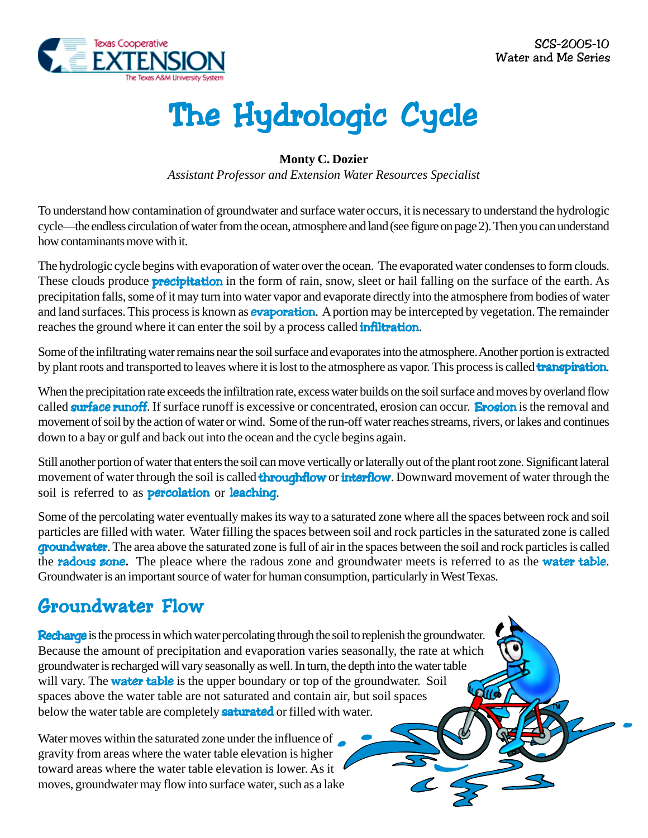

# The Hydrologic Cycle

#### **Monty C. Dozier**

*Assistant Professor and Extension Water Resources Specialist*

To understand how contamination of groundwater and surface water occurs, it is necessary to understand the hydrologic cycle—the endless circulation of water from the ocean, atmosphere and land (see figure on page 2). Then you can understand how contaminants move with it.

The hydrologic cycle begins with evaporation of water over the ocean. The evaporated water condenses to form clouds. These clouds produce **precipitation** in the form of rain, snow, sleet or hail falling on the surface of the earth. As precipitation falls, some of it may turn into water vapor and evaporate directly into the atmosphere from bodies of water and land surfaces. This process is known as **evaporation**. A portion may be intercepted by vegetation. The remainder reaches the ground where it can enter the soil by a process called **infiltration**.

Some of the infiltrating water remains near the soil surface and evaporates into the atmosphere. Another portion is extracted by plant roots and transported to leaves where it is lost to the atmosphere as vapor. This process is called **transpiration**.

When the precipitation rate exceeds the infiltration rate, excess water builds on the soil surface and moves by overland flow called **surface runoff**. If surface runoff is excessive or concentrated, erosion can occur. **Erosion** is the removal and movement of soil by the action of water or wind. Some of the run-off water reaches streams, rivers, or lakes and continues down to a bay or gulf and back out into the ocean and the cycle begins again.

Still another portion of water that enters the soil can move vertically or laterally out of the plant root zone. Significant lateral movement of water through the soil is called **throughflow** or **interflow**. Downward movement of water through the soil is referred to as **percolation** or **leaching**.

Some of the percolating water eventually makes its way to a saturated zone where all the spaces between rock and soil particles are filled with water. Water filling the spaces between soil and rock particles in the saturated zone is called **groundwater**. The area above the saturated zone is full of air in the spaces between the soil and rock particles is called the radous zone**.** The pleace where the radous zone and groundwater meets is referred to as the water table. Groundwater is an important source of water for human consumption, particularly in West Texas.

#### Groundwater Flow

Recharge is the process in which water percolating through the soil to replenish the groundwater. Because the amount of precipitation and evaporation varies seasonally, the rate at which groundwater is recharged will vary seasonally as well. In turn, the depth into the water table will vary. The **water table** is the upper boundary or top of the groundwater. Soil spaces above the water table are not saturated and contain air, but soil spaces below the water table are completely **saturated** or filled with water.

Water moves within the saturated zone under the influence of gravity from areas where the water table elevation is higher toward areas where the water table elevation is lower. As it moves, groundwater may flow into surface water, such as a lake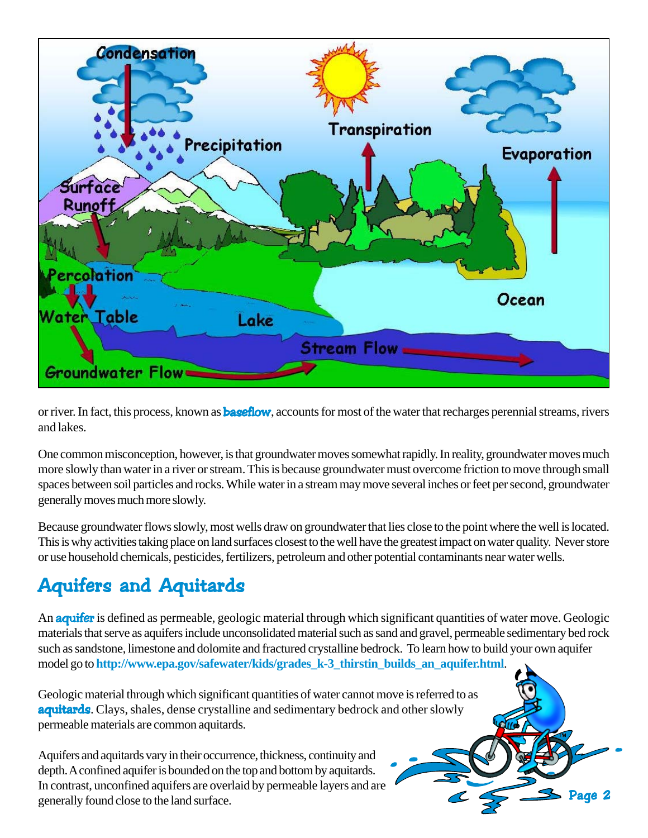

or river. In fact, this process, known as **baseflow**, accounts for most of the water that recharges perennial streams, rivers and lakes.

One common misconception, however, is that groundwater moves somewhat rapidly. In reality, groundwater moves much more slowly than water in a river or stream. This is because groundwater must overcome friction to move through small spaces between soil particles and rocks. While water in a stream may move several inches or feet per second, groundwater generally moves much more slowly.

Because groundwater flows slowly, most wells draw on groundwater that lies close to the point where the well is located. This is why activities taking place on land surfaces closest to the well have the greatest impact on water quality. Never store or use household chemicals, pesticides, fertilizers, petroleum and other potential contaminants near water wells.

# **Aquifers and Aquitards**

An **aquifer** is defined as permeable, geologic material through which significant quantities of water move. Geologic materials that serve as aquifers include unconsolidated material such as sand and gravel, permeable sedimentary bed rock such as sandstone, limestone and dolomite and fractured crystalline bedrock. To learn how to build your own aquifer model go to **http://www.epa.gov/safewater/kids/grades\_k-3\_thirstin\_builds\_an\_aquifer.html**.

Geologic material through which significant quantities of water cannot move is referred to as aquitards. Clays, shales, dense crystalline and sedimentary bedrock and other slowly permeable materials are common aquitards.

Aquifers and aquitards vary in their occurrence, thickness, continuity and depth. A confined aquifer is bounded on the top and bottom by aquitards. In contrast, unconfined aquifers are overlaid by permeable layers and are generally found close to the land surface.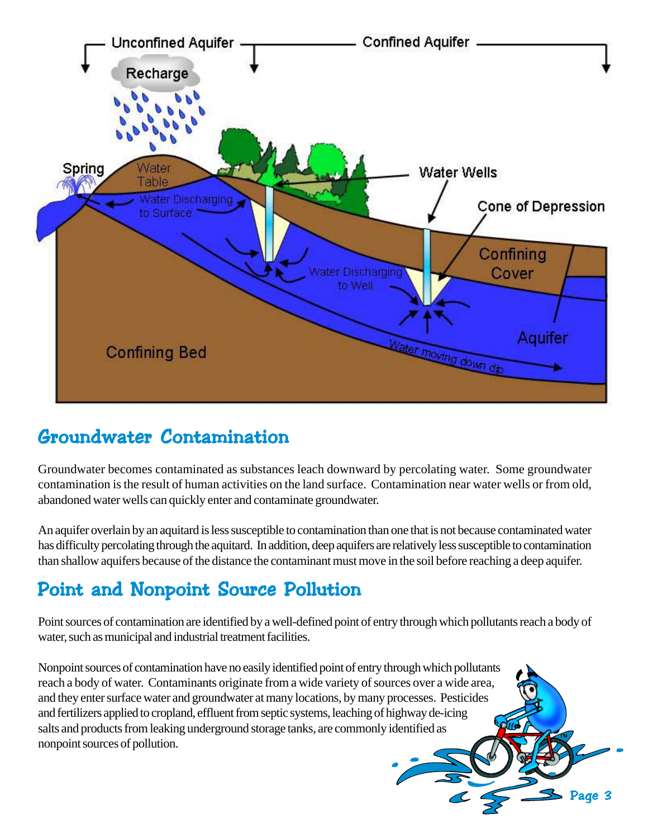

#### Groundwater Contamination

Groundwater becomes contaminated as substances leach downward by percolating water. Some groundwater contamination is the result of human activities on the land surface. Contamination near water wells or from old, abandoned water wells can quickly enter and contaminate groundwater.

An aquifer overlain by an aquitard is less susceptible to contamination than one that is not because contaminated water has difficulty percolating through the aquitard. In addition, deep aquifers are relatively less susceptible to contamination than shallow aquifers because of the distance the contaminant must move in the soil before reaching a deep aquifer.

## Point and Nonpoint Source Pollution

Point sources of contamination are identified by a well-defined point of entry through which pollutants reach a body of water, such as municipal and industrial treatment facilities.

Page 3

Nonpoint sources of contamination have no easily identified point of entry through which pollutants reach a body of water. Contaminants originate from a wide variety of sources over a wide area, and they enter surface water and groundwater at many locations, by many processes. Pesticides and fertilizers applied to cropland, effluent from septic systems, leaching of highway de-icing salts and products from leaking underground storage tanks, are commonly identified as nonpoint sources of pollution.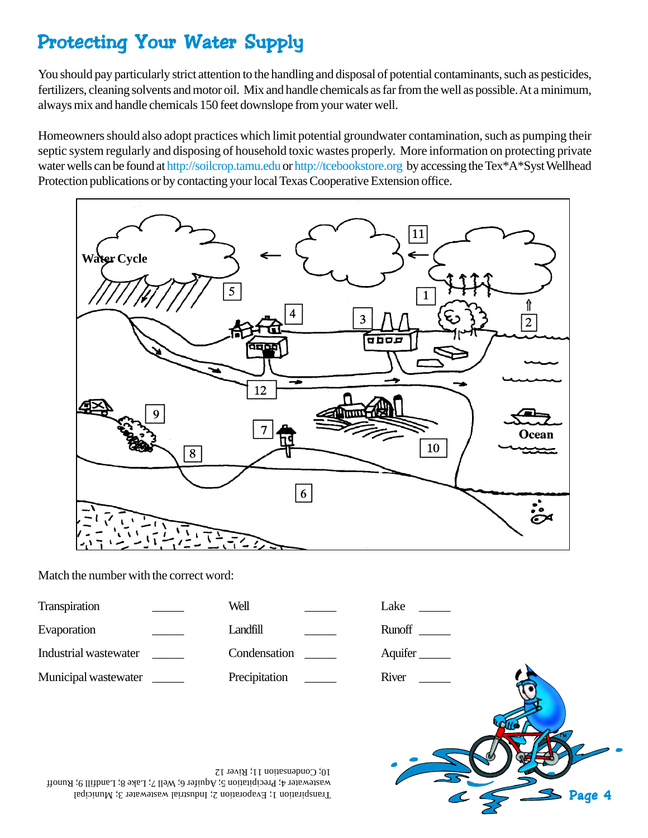## Protecting Your Water Supply

You should pay particularly strict attention to the handling and disposal of potential contaminants, such as pesticides, fertilizers, cleaning solvents and motor oil. Mix and handle chemicals as far from the well as possible. At a minimum, always mix and handle chemicals 150 feet downslope from your water well.

Homeowners should also adopt practices which limit potential groundwater contamination, such as pumping their septic system regularly and disposing of household toxic wastes properly. More information on protecting private water wells can be found at http://soilcrop.tamu.edu or http://tcebookstore.org by accessing the Tex\*A\*Syst Wellhead Protection publications or by contacting your local Texas Cooperative Extension office.



Match the number with the correct word:

| Transpiration         | Well                             | Lake        |
|-----------------------|----------------------------------|-------------|
| Evaporation           | Landfill<br><b>Communication</b> |             |
| Industrial wastewater | Condensation                     | Aquifer     |
| Municipal wastewater  | Precipitation                    | River<br>fa |

Page 4

Transpiration 1; Evaporation 2; Industrial wastewater 3; Municipal wastewater 4; Precipitation 5; Aquifer 6; Well 7; Lake 8; Landfill 9; Runoff 10; Condensation 11; River 12